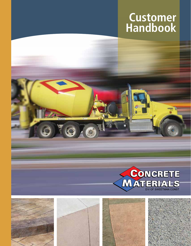# **Customer Handbook**





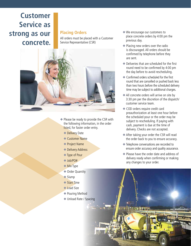# **Customer Service as strong as our concrete.**

#### **Placing Orders**

All orders must be placed with a Customer Service Representative (CSR)



- $\blacktriangleright$  Please be ready to provide the CSR with the following information, in the order listed, for faster order entry.
	- ← Delivery Date
	- **Customer Name**
	- ◆ Project Name
	- ◆ Delivery Address
	- $\blacktriangleright$  Type of Pour
	- ◆ Job/PO#
	- $\blacktriangleright$  Mix Type
	- ◆ Order Quantity
	- $\blacktriangleright$  Slump
	- $\blacktriangleright$  Start Time
	- $\triangle$  Load Size
	- $\rightarrow$  Pouring Method
	- ◆ Unload Rate / Spacing
- $\blacklozenge$  We encourage our customers to place concrete orders by 4:00 pm the previous day.
- $\blacktriangleright$  Placing new orders over the radio is discouraged. All orders should be confirmed by telephone before they are sent.
- $\blacklozenge$  Deliveries that are scheduled for the first round need to be confirmed by 4:00 pm the day before to avoid rescheduling.
- $\triangle$  Confirmed orders scheduled for the first round that are cancelled or pushed back less than two hours before the scheduled delivery time may be subject to additional charges.
- $\blacktriangleright$  All concrete orders will arrive on site by 3:30 pm per the discretion of the dispatch/ customer service team.
- COD orders require credit card preauthorization at least one hour before the scheduled pour or the order may be subject to rescheduling. If paying with cash, payment is due at the time of delivery. Checks are not accepted.
- $\blacklozenge$  After taking your order the CSR will read the order back to you to ensure accuracy.
- $\blacklozenge$  Telephone conversations are recorded to ensure order accuracy and quality assurance.
- ◆ Please have the order date and address of delivery ready when confirming or making any changes to your order.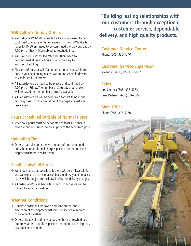# **Will Call & Saturday Orders**

- $\blacklozenge$  We welcome Will-Call orders but all Will-Calls need to be confirmed to ensure on time delivery. First round Will-Calls (prior to 10:00 am) need to be confirmed the previous day by 4:00 pm or they will be subject to rescheduling.
- ◆ Will-Call orders scheduled after 10:00 am need to be confirmed at least 2 hours prior to delivery to avoid rescheduling.
- $\blacklozenge$  Please confirm your Will-Call order as soon as possible to ensure your scheduling needs. We do not schedule drivers/ trucks for Will-Call orders.
- $\blacktriangleright$  All Saturday orders need to be placed and confirmed by 4:00 pm on Friday. The number of Saturday orders taken will be based on the number of trucks available.
- $\triangle$  All Saturday orders will be scheduled for first thing in the morning based on the discretion of the dispatch/customer service team.

### **Pours Scheduled Outside of Normal Hours**

◆ After hour pours must be negotiated at least 48 hours in advance and confirmed 24 hours prior to the scheduled pour.

# **Unloading Time**

 $\bullet$  Orders that take an excessive amount of time to unload are subject to additional charges per the discretion of the dispatch/customer service team.

#### **Small Loads/Call Backs**

- $\blacklozenge$  We understand that occasionally there will be a miscalculation and we expect an occasional call back load. Any additional call backs will be subject to truck availability and delivery charges.
- $\triangle$  All orders and/or call backs less than 3 cubic yards will be subject to an additional fee.

# **Weather Conditions:**

- $\triangle$  Concrete orders will be taken and sent out per the discretion of the dispatch/customer service team in times of inclement weather.
- $\blacklozenge$  Orders already placed may be pushed back or rescheduled due to weather conditions per the discretion of the dispatch/ customer service team.

**"Building lasting relationships with our customers through exceptional customer service, dependable delivery, and high quality products."**

#### **Customer Service Center**

Phone: (605) 336-1740

#### **Customer Service Supervisor**

Amanda Beard (605) 336-5887

#### **Sales**

Jim Simunek (605) 336-5783 Terry Pederson (605) 336-5858

# **Main Office**

Phone: (605) 336-5760